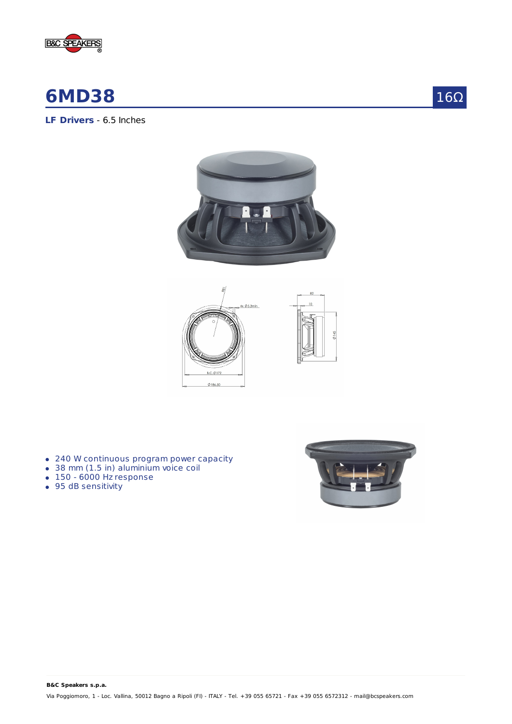

# **6MD38**

16Ω

**LF Drivers** - 6.5 Inches





- 240 W continuous program power capacity
- 38 mm (1.5 in) aluminium voice coil
- $-150 6000$  Hz response
- 95 dB sensitivity